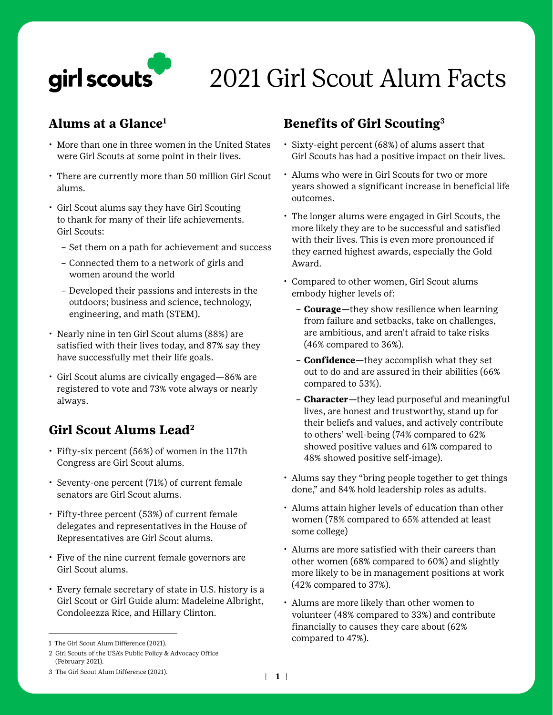

# 2021 Girl Scout Alum Facts

#### **Alums at a Glance1**

- More than one in three women in the United States were Girl Scouts at some point in their lives.
- There are currently more than 50 million Girl Scout alums.
- Girl Scout alums say they have Girl Scouting to thank for many of their life achievements. Girl Scouts:
	- Set them on a path for achievement and success
	- Connected them to a network of girls and women around the world
	- Developed their passions and interests in the outdoors; business and science, technology, engineering, and math (STEM).
- Nearly nine in ten Girl Scout alums (88%) are satisfied with their lives today, and 87% say they have successfully met their life goals.
- Girl Scout alums are civically engaged—86% are registered to vote and 73% vote always or nearly always.

### **Girl Scout Alums Lead2**

- Fifty-six percent (56%) of women in the 117th Congress are Girl Scout alums.
- Seventy-one percent (71%) of current female senators are Girl Scout alums.
- Fifty-three percent (53%) of current female delegates and representatives in the House of Representatives are Girl Scout alums.
- Five of the nine current female governors are Girl Scout alums.
- Every female secretary of state in U.S. history is a Girl Scout or Girl Guide alum: Madeleine Albright, Condoleezza Rice, and Hillary Clinton.

## **Benefits of Girl Scouting3**

- Sixty-eight percent (68%) of alums assert that Girl Scouts has had a positive impact on their lives.
- Alums who were in Girl Scouts for two or more years showed a significant increase in beneficial life outcomes.
- The longer alums were engaged in Girl Scouts, the more likely they are to be successful and satisfied with their lives. This is even more pronounced if they earned highest awards, especially the Gold Award.
- Compared to other women, Girl Scout alums embody higher levels of:
	- **Courage**—they show resilience when learning from failure and setbacks, take on challenges, are ambitious, and aren't afraid to take risks (46% compared to 36%).
	- **Confidence**—they accomplish what they set out to do and are assured in their abilities (66% compared to 53%).
	- **Character**—they lead purposeful and meaningful lives, are honest and trustworthy, stand up for their beliefs and values, and actively contribute to others' well-being (74% compared to 62% showed positive values and 61% compared to 48% showed positive self-image).
- Alums say they "bring people together to get things done," and 84% hold leadership roles as adults.
- Alums attain higher levels of education than other women (78% compared to 65% attended at least some college)
- Alums are more satisfied with their careers than other women (68% compared to 60%) and slightly more likely to be in management positions at work (42% compared to 37%).
- Alums are more likely than other women to volunteer (48% compared to 33%) and contribute financially to causes they care about (62% compared to 47%).

<sup>1</sup> The Girl Scout Alum Difference (2021).

<sup>2</sup> Girl Scouts of the USA's Public Policy & Advocacy Office (February 2021).

<sup>3</sup> The Girl Scout Alum Difference (2021). <sup>|</sup>**1 |**